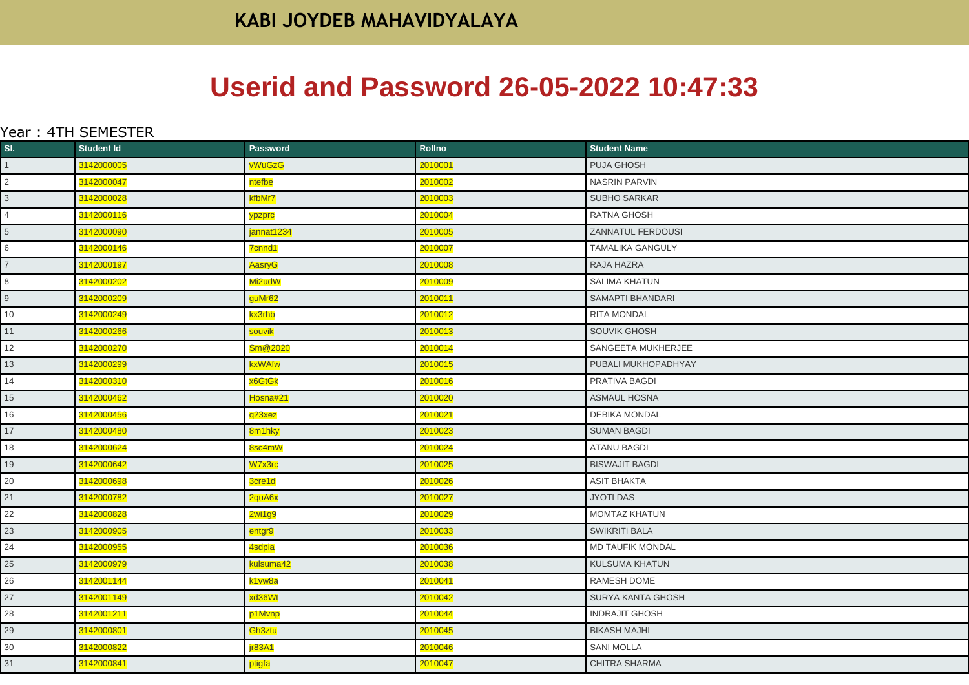## **Userid and Password 26-05-2022 10:47:33**

## Year: 4TH SEMESTER

| SI.             | <b>Student Id</b> | Password            | Rollno  | <b>Student Name</b>      |
|-----------------|-------------------|---------------------|---------|--------------------------|
| 1               | 3142000005        | <b>vWuGzG</b>       | 2010001 | PUJA GHOSH               |
| $\overline{2}$  | 3142000047        | ntefbe              | 2010002 | NASRIN PARVIN            |
| $\mathbf{3}$    | 3142000028        | kfbMr7              | 2010003 | <b>SUBHO SARKAR</b>      |
| $\overline{4}$  | 3142000116        | ypzprc              | 2010004 | <b>RATNA GHOSH</b>       |
| $5\phantom{.0}$ | 3142000090        | jannat1234          | 2010005 | ZANNATUL FERDOUSI        |
| 6               | 3142000146        | 7cnnd1              | 2010007 | <b>TAMALIKA GANGULY</b>  |
| $\overline{7}$  | 3142000197        | <b>AasryG</b>       | 2010008 | RAJA HAZRA               |
| 8               | 3142000202        | Mi2udW              | 2010009 | <b>SALIMA KHATUN</b>     |
| 9               | 3142000209        | guMr62              | 2010011 | SAMAPTI BHANDARI         |
| 10              | 3142000249        | kx3rhb              | 2010012 | <b>RITA MONDAL</b>       |
| 11              | 3142000266        | souvik              | 2010013 | SOUVIK GHOSH             |
| 12              | 3142000270        | Sm@2020             | 2010014 | SANGEETA MUKHERJEE       |
| 13              | 3142000299        | kxWAfw              | 2010015 | PUBALI MUKHOPADHYAY      |
| 14              | 3142000310        | x6GtGk              | 2010016 | PRATIVA BAGDI            |
| 15              | 3142000462        | Hosna#21            | 2010020 | <b>ASMAUL HOSNA</b>      |
| 16              | 3142000456        | q23xez              | 2010021 | <b>DEBIKA MONDAL</b>     |
| $17$            | 3142000480        | 8m1hky              | 2010023 | <b>SUMAN BAGDI</b>       |
| 18              | 3142000624        | 8sc4mW              | 2010024 | <b>ATANU BAGDI</b>       |
| 19              | 3142000642        | W7x3rc              | 2010025 | <b>BISWAJIT BAGDI</b>    |
| 20              | 3142000698        | 3cre1d              | 2010026 | <b>ASIT BHAKTA</b>       |
| 21              | 3142000782        | 2quA6x              | 2010027 | <b>JYOTI DAS</b>         |
| 22              | 3142000828        | 2wi1g9              | 2010029 | <b>MOMTAZ KHATUN</b>     |
| 23              | 3142000905        | entgr9              | 2010033 | <b>SWIKRITI BALA</b>     |
| 24              | 3142000955        | <mark>4sdpia</mark> | 2010036 | <b>MD TAUFIK MONDAL</b>  |
| 25              | 3142000979        | kulsuma42           | 2010038 | KULSUMA KHATUN           |
| 26              | 3142001144        | k1vw8a              | 2010041 | RAMESH DOME              |
| 27              | 3142001149        | xd36Wt              | 2010042 | <b>SURYA KANTA GHOSH</b> |
| 28              | 3142001211        | p1Mvnp              | 2010044 | <b>INDRAJIT GHOSH</b>    |
| 29              | 3142000801        | Gh <sub>3ztu</sub>  | 2010045 | <b>BIKASH MAJHI</b>      |
| 30              | 3142000822        | jr83A1              | 2010046 | <b>SANI MOLLA</b>        |
| 31              | 3142000841        | ptigfa              | 2010047 | CHITRA SHARMA            |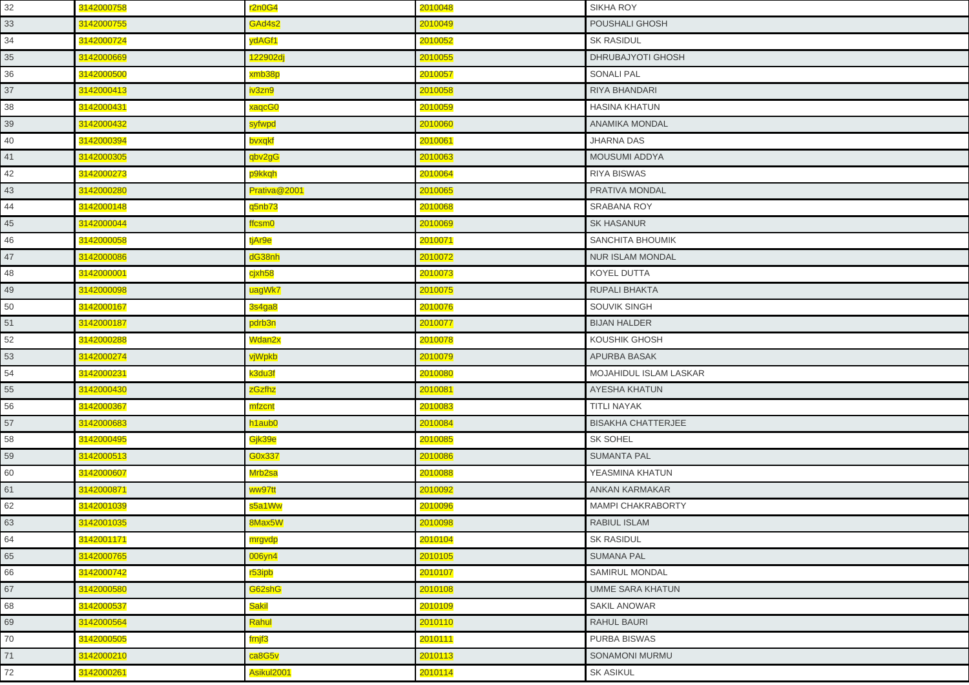| 32 | 3142000758 | r2n0G4                 | 2010048 | <b>SIKHA ROY</b>          |
|----|------------|------------------------|---------|---------------------------|
| 33 | 3142000755 | GAd4s2                 | 2010049 | POUSHALI GHOSH            |
| 34 | 3142000724 | ydAGf1                 | 2010052 | <b>SK RASIDUL</b>         |
| 35 | 3142000669 | 122902dj               | 2010055 | DHRUBAJYOTI GHOSH         |
| 36 | 3142000500 | xmb38p                 | 2010057 | <b>SONALI PAL</b>         |
| 37 | 3142000413 | iv3zn9                 | 2010058 | RIYA BHANDARI             |
| 38 | 3142000431 | xaqcG0                 | 2010059 | <b>HASINA KHATUN</b>      |
| 39 | 3142000432 | syfwpd                 | 2010060 | <b>ANAMIKA MONDAL</b>     |
| 40 | 3142000394 | bvxqkf                 | 2010061 | <b>JHARNA DAS</b>         |
| 41 | 3142000305 | qbv2gG                 | 2010063 | <b>MOUSUMI ADDYA</b>      |
| 42 | 3142000273 | p9kkqh                 | 2010064 | <b>RIYA BISWAS</b>        |
| 43 | 3142000280 | Prativa@2001           | 2010065 | PRATIVA MONDAL            |
| 44 | 3142000148 | q5nb73                 | 2010068 | <b>SRABANA ROY</b>        |
| 45 | 3142000044 | ffcsm0                 | 2010069 | <b>SK HASANUR</b>         |
| 46 | 3142000058 | tjAr9e                 | 2010071 | SANCHITA BHOUMIK          |
| 47 | 3142000086 | dG38nh                 | 2010072 | <b>NUR ISLAM MONDAL</b>   |
| 48 | 3142000001 | cjxh58                 | 2010073 | KOYEL DUTTA               |
| 49 | 3142000098 | uagWk7                 | 2010075 | RUPALI BHAKTA             |
| 50 | 3142000167 | 3s4ga8                 | 2010076 | <b>SOUVIK SINGH</b>       |
| 51 | 3142000187 | pdrb3n                 | 2010077 | <b>BIJAN HALDER</b>       |
| 52 | 3142000288 | Wdan <sub>2x</sub>     | 2010078 | <b>KOUSHIK GHOSH</b>      |
| 53 | 3142000274 | vjWpkb                 | 2010079 | APURBA BASAK              |
| 54 | 3142000231 | k3du3f                 | 2010080 | MOJAHIDUL ISLAM LASKAR    |
| 55 | 3142000430 | zGzfhz                 | 2010081 | AYESHA KHATUN             |
| 56 | 3142000367 | mfzcnt                 | 2010083 | <b>TITLI NAYAK</b>        |
| 57 | 3142000683 | h1aub0                 | 2010084 | <b>BISAKHA CHATTERJEE</b> |
| 58 | 3142000495 | Gjk39e                 | 2010085 | <b>SK SOHEL</b>           |
| 59 | 3142000513 | G0x337                 | 2010086 | <b>SUMANTA PAL</b>        |
| 60 | 3142000607 | Mrb2sa                 | 2010088 | YEASMINA KHATUN           |
| 61 | 3142000871 | ww97tt                 | 2010092 | <b>ANKAN KARMAKAR</b>     |
| 62 | 3142001039 | s5a1Ww                 | 2010096 | MAMPI CHAKRABORTY         |
| 63 | 3142001035 | 8Max5W                 | 2010098 | RABIUL ISLAM              |
| 64 | 3142001171 | mrgvdp                 | 2010104 | <b>SK RASIDUL</b>         |
| 65 | 3142000765 | 006yn4                 | 2010105 | <b>SUMANA PAL</b>         |
| 66 | 3142000742 | r53ipb                 | 2010107 | SAMIRUL MONDAL            |
| 67 | 3142000580 | G62shG                 | 2010108 | <b>UMME SARA KHATUN</b>   |
| 68 | 3142000537 | Sakil                  | 2010109 | <b>SAKIL ANOWAR</b>       |
| 69 | 3142000564 | Rahul                  | 2010110 | RAHUL BAURI               |
| 70 | 3142000505 | frnjf3                 | 2010111 | <b>PURBA BISWAS</b>       |
| 71 | 3142000210 | ca8G5v                 | 2010113 | SONAMONI MURMU            |
| 72 | 3142000261 | Asikul <sub>2001</sub> | 2010114 | <b>SK ASIKUL</b>          |
|    |            |                        |         |                           |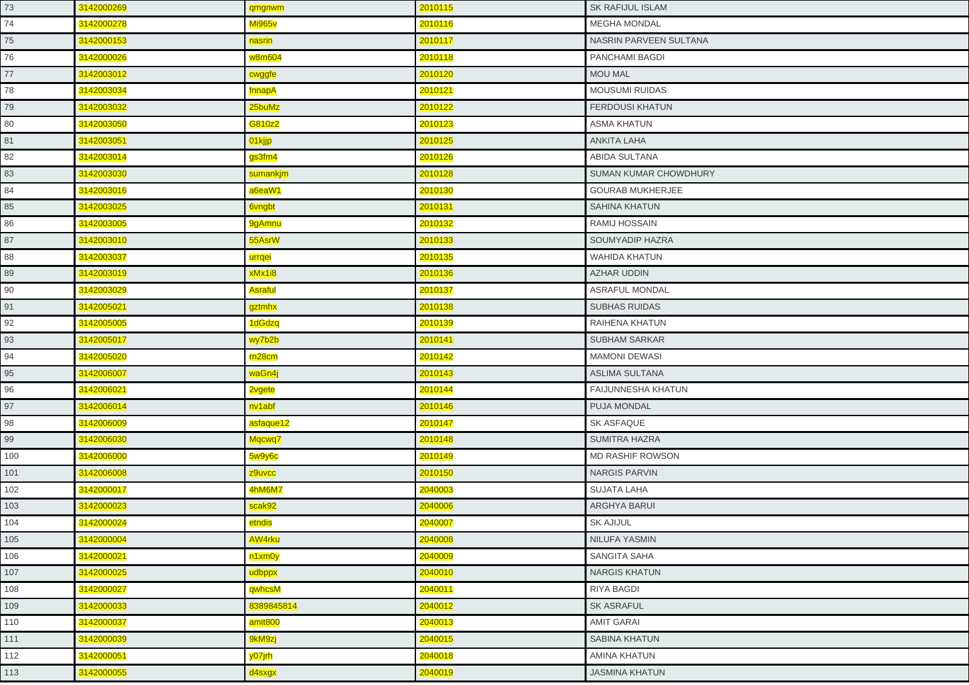| 73  | 3142000269 | qmgnwm         | 2010115 | <b>SK RAFIJUL ISLAM</b>   |
|-----|------------|----------------|---------|---------------------------|
| 74  | 3142000278 | <b>Mi965v</b>  | 2010116 | <b>MEGHA MONDAL</b>       |
| 75  | 3142000153 | nasrin         | 2010117 | NASRIN PARVEEN SULTANA    |
| 76  | 3142000026 | w8m604         | 2010118 | PANCHAMI BAGDI            |
| 77  | 3142003012 | cwggfe         | 2010120 | <b>MOU MAL</b>            |
| 78  | 3142003034 | <u>fnnapA</u>  | 2010121 | <b>MOUSUMI RUIDAS</b>     |
| 79  | 3142003032 | 25buMz         | 2010122 | <b>FERDOUSI KHATUN</b>    |
| 80  | 3142003050 | G810z2         | 2010123 | <b>ASMA KHATUN</b>        |
| 81  | 3142003051 | 01kjjp         | 2010125 | <b>ANKITA LAHA</b>        |
| 82  | 3142003014 | gs3fm4         | 2010126 | ABIDA SULTANA             |
| 83  | 3142003030 | sumankjm       | 2010128 | SUMAN KUMAR CHOWDHURY     |
| 84  | 3142003016 | a6eaW1         | 2010130 | <b>GOURAB MUKHERJEE</b>   |
| 85  | 3142003025 | <b>6vngbt</b>  | 2010131 | <b>SAHINA KHATUN</b>      |
| 86  | 3142003005 | 9gAmnu         | 2010132 | RAMIJ HOSSAIN             |
| 87  | 3142003010 | 55AsrW         | 2010133 | SOUMYADIP HAZRA           |
| 88  | 3142003037 | urrqei         | 2010135 | <b>WAHIDA KHATUN</b>      |
| 89  | 3142003019 | xMx1i8         | 2010136 | <b>AZHAR UDDIN</b>        |
| 90  | 3142003029 | <b>Asraful</b> | 2010137 | ASRAFUL MONDAL            |
| 91  | 3142005021 | gztmhx         | 2010138 | <b>SUBHAS RUIDAS</b>      |
| 92  | 3142005005 | 1dGdzq         | 2010139 | RAIHENA KHATUN            |
| 93  | 3142005017 | wy7b2b         | 2010141 | <b>SUBHAM SARKAR</b>      |
| 94  | 3142005020 | rn28cm         | 2010142 | <b>MAMONI DEWASI</b>      |
| 95  | 3142006007 | waGn4j         | 2010143 | ASLIMA SULTANA            |
| 96  | 3142006021 | 2vgete         | 2010144 | <b>FAIJUNNESHA KHATUN</b> |
| 97  | 3142006014 | nv1abf         | 2010146 | PUJA MONDAL               |
| 98  | 3142006009 | asfaque12      | 2010147 | <b>SK ASFAQUE</b>         |
| 99  | 3142006030 | Mqcwq7         | 2010148 | <b>SUMITRA HAZRA</b>      |
| 100 | 3142006000 | 5w9y6c         | 2010149 | MD RASHIF ROWSON          |
| 101 | 3142006008 | z9uvcc         | 2010150 | <b>NARGIS PARVIN</b>      |
| 102 | 3142000017 | 4hM6M7         | 2040003 | <b>SUJATA LAHA</b>        |
| 103 | 3142000023 | scak92         | 2040006 | <b>ARGHYA BARUI</b>       |
| 104 | 3142000024 | etndis         | 2040007 | SK AJIJUL                 |
| 105 | 3142000004 | AW4rku         | 2040008 | NILUFA YASMIN             |
| 106 | 3142000021 | n1xm0y         | 2040009 | <b>SANGITA SAHA</b>       |
| 107 | 3142000025 | udbppx         | 2040010 | <b>NARGIS KHATUN</b>      |
| 108 | 3142000027 | qwhcsM         | 2040011 | <b>RIYA BAGDI</b>         |
| 109 | 3142000033 | 8389845814     | 2040012 | <b>SK ASRAFUL</b>         |
| 110 | 3142000037 | amit800        | 2040013 | <b>AMIT GARAI</b>         |
| 111 | 3142000039 | 9kM9zj         | 2040015 | <b>SABINA KHATUN</b>      |
| 112 | 3142000051 | y07jrh         | 2040018 | <b>AMINA KHATUN</b>       |
| 113 | 3142000055 | d4sxgx         | 2040019 | <b>JASMINA KHATUN</b>     |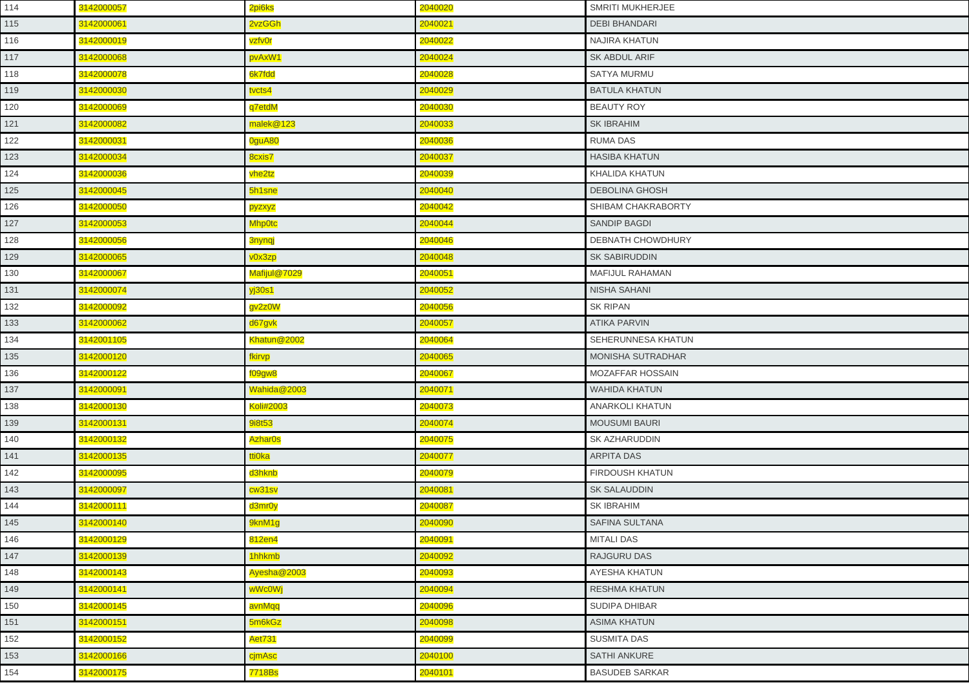| 114 | 3142000057 | 2pi6ks              | 2040020 | SMRITI MUKHERJEE       |
|-----|------------|---------------------|---------|------------------------|
| 115 | 3142000061 | 2vzGGh              | 2040021 | <b>DEBI BHANDARI</b>   |
| 116 | 3142000019 | <u>vzfv0r</u>       | 2040022 | <b>NAJIRA KHATUN</b>   |
| 117 | 3142000068 | pvAxW1              | 2040024 | SK ABDUL ARIF          |
| 118 | 3142000078 | 6k7fdd              | 2040028 | <b>SATYA MURMU</b>     |
| 119 | 3142000030 | tvcts4              | 2040029 | <b>BATULA KHATUN</b>   |
| 120 | 3142000069 | q7etdM              | 2040030 | <b>BEAUTY ROY</b>      |
| 121 | 3142000082 | malek@123           | 2040033 | <b>SK IBRAHIM</b>      |
| 122 | 3142000031 | 0guA80              | 2040036 | <b>RUMA DAS</b>        |
| 123 | 3142000034 | 8cxis7              | 2040037 | <b>HASIBA KHATUN</b>   |
| 124 | 3142000036 | vhe2tz              | 2040039 | KHALIDA KHATUN         |
| 125 | 3142000045 | 5h1sne              | 2040040 | <b>DEBOLINA GHOSH</b>  |
| 126 | 3142000050 | pyzxyz              | 2040042 | SHIBAM CHAKRABORTY     |
| 127 | 3142000053 | <b>Mhp0tc</b>       | 2040044 | <b>SANDIP BAGDI</b>    |
| 128 | 3142000056 | <mark>3nynqj</mark> | 2040046 | DEBNATH CHOWDHURY      |
| 129 | 3142000065 | V0x3zp              | 2040048 | <b>SK SABIRUDDIN</b>   |
| 130 | 3142000067 | Mafijul@7029        | 2040051 | <b>MAFIJUL RAHAMAN</b> |
| 131 | 3142000074 | yj30s1              | 2040052 | <b>NISHA SAHANI</b>    |
| 132 | 3142000092 | gv2z0W              | 2040056 | <b>SK RIPAN</b>        |
| 133 | 3142000062 | d67gvk              | 2040057 | <b>ATIKA PARVIN</b>    |
| 134 | 3142001105 | Khatun@2002         | 2040064 | SEHERUNNESA KHATUN     |
| 135 | 3142000120 | fkirvp              | 2040065 | MONISHA SUTRADHAR      |
| 136 | 3142000122 | f09gw8              | 2040067 | MOZAFFAR HOSSAIN       |
| 137 | 3142000091 | Wahida@2003         | 2040071 | <b>WAHIDA KHATUN</b>   |
| 138 | 3142000130 | <b>Koli#2003</b>    | 2040073 | <b>ANARKOLI KHATUN</b> |
| 139 | 3142000131 | 9i8t53              | 2040074 | <b>MOUSUMI BAURI</b>   |
| 140 | 3142000132 | <b>Azhar0s</b>      | 2040075 | SK AZHARUDDIN          |
| 141 | 3142000135 | tti0ka              | 2040077 | <b>ARPITA DAS</b>      |
| 142 | 3142000095 | d3hknb              | 2040079 | <b>FIRDOUSH KHATUN</b> |
| 143 | 3142000097 | cw31sv              | 2040081 | <b>SK SALAUDDIN</b>    |
| 144 | 3142000111 | d3mr0y              | 2040087 | <b>SK IBRAHIM</b>      |
| 145 | 3142000140 | 9knM1g              | 2040090 | SAFINA SULTANA         |
| 146 | 3142000129 | 812en4              | 2040091 | <b>MITALI DAS</b>      |
| 147 | 3142000139 | 1hhkmb              | 2040092 | <b>RAJGURU DAS</b>     |
| 148 | 3142000143 | Ayesha@2003         | 2040093 | AYESHA KHATUN          |
| 149 | 3142000141 | <b>wWc0Wj</b>       | 2040094 | <b>RESHMA KHATUN</b>   |
| 150 | 3142000145 | avnMqq              | 2040096 | SUDIPA DHIBAR          |
| 151 | 3142000151 | 5m6kGz              | 2040098 | <b>ASIMA KHATUN</b>    |
| 152 | 3142000152 | Aet731              | 2040099 | <b>SUSMITA DAS</b>     |
| 153 | 3142000166 | cjmAsc              | 2040100 | <b>SATHI ANKURE</b>    |
| 154 | 3142000175 | 7718Bs              | 2040101 | <b>BASUDEB SARKAR</b>  |
|     |            |                     |         |                        |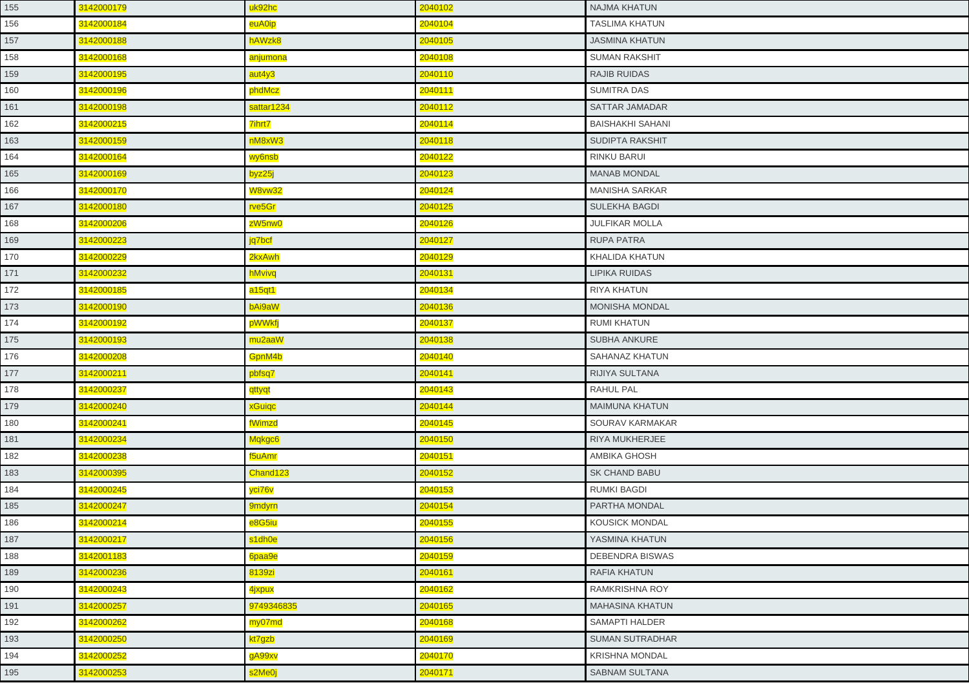| 155 | 3142000179 | uk92hc              | 2040102 | NAJMA KHATUN            |
|-----|------------|---------------------|---------|-------------------------|
| 156 | 3142000184 | euA0ip              | 2040104 | <b>TASLIMA KHATUN</b>   |
| 157 | 3142000188 | hAWzk8              | 2040105 | <b>JASMINA KHATUN</b>   |
| 158 | 3142000168 | anjumona            | 2040108 | <b>SUMAN RAKSHIT</b>    |
| 159 | 3142000195 | aut4y3              | 2040110 | <b>RAJIB RUIDAS</b>     |
| 160 | 3142000196 | phdMcz              | 2040111 | <b>SUMITRA DAS</b>      |
| 161 | 3142000198 | sattar1234          | 2040112 | SATTAR JAMADAR          |
| 162 | 3142000215 | <b>7ihrt7</b>       | 2040114 | <b>BAISHAKHI SAHANI</b> |
| 163 | 3142000159 | nM8xW3              | 2040118 | SUDIPTA RAKSHIT         |
| 164 | 3142000164 | wy6nsb              | 2040122 | RINKU BARUI             |
| 165 | 3142000169 | byz25j              | 2040123 | <b>MANAB MONDAL</b>     |
| 166 | 3142000170 | <b>W8vw32</b>       | 2040124 | <b>MANISHA SARKAR</b>   |
| 167 | 3142000180 | rve <sub>5Gr</sub>  | 2040125 | <b>SULEKHA BAGDI</b>    |
| 168 | 3142000206 | zW5nw0              | 2040126 | <b>JULFIKAR MOLLA</b>   |
| 169 | 3142000223 | jq7bcf              | 2040127 | <b>RUPA PATRA</b>       |
| 170 | 3142000229 | 2kxAwh              | 2040129 | KHALIDA KHATUN          |
| 171 | 3142000232 | hMvivq              | 2040131 | LIPIKA RUIDAS           |
| 172 | 3142000185 | a15qt1              | 2040134 | RIYA KHATUN             |
| 173 | 3142000190 | bAi9aW              | 2040136 | <b>MONISHA MONDAL</b>   |
| 174 | 3142000192 | pWWkfj              | 2040137 | <b>RUMI KHATUN</b>      |
| 175 | 3142000193 | mu <sub>2aa</sub> W | 2040138 | <b>SUBHA ANKURE</b>     |
| 176 | 3142000208 | GpnM4b              | 2040140 | SAHANAZ KHATUN          |
| 177 | 3142000211 | pbfsq7              | 2040141 | RIJIYA SULTANA          |
| 178 | 3142000237 | qttyqt              | 2040143 | <b>RAHUL PAL</b>        |
| 179 | 3142000240 | xGuiqc              | 2040144 | <b>MAIMUNA KHATUN</b>   |
| 180 | 3142000241 | fWimzd              | 2040145 | SOURAV KARMAKAR         |
| 181 | 3142000234 | Mqkgc6              | 2040150 | <b>RIYA MUKHERJEE</b>   |
| 182 | 3142000238 | f5uAmr              | 2040151 | AMBIKA GHOSH            |
| 183 | 3142000395 | Chand123            | 2040152 | <b>SK CHAND BABU</b>    |
| 184 | 3142000245 | yci76v              | 2040153 | <b>RUMKI BAGDI</b>      |
| 185 | 3142000247 | 9 <sub>mdyrn</sub>  | 2040154 | <b>PARTHA MONDAL</b>    |
| 186 | 3142000214 | e8G5iu              | 2040155 | <b>KOUSICK MONDAL</b>   |
| 187 | 3142000217 | s1dh0e              | 2040156 | YASMINA KHATUN          |
| 188 | 3142001183 | 6paa9e              | 2040159 | <b>DEBENDRA BISWAS</b>  |
| 189 | 3142000236 | 8139zi              | 2040161 | RAFIA KHATUN            |
| 190 | 3142000243 | 4jxpux              | 2040162 | RAMKRISHNA ROY          |
| 191 | 3142000257 | 9749346835          | 2040165 | <b>MAHASINA KHATUN</b>  |
| 192 | 3142000262 | my07md              | 2040168 | SAMAPTI HALDER          |
| 193 | 3142000250 | kt7gzb              | 2040169 | <b>SUMAN SUTRADHAR</b>  |
| 194 | 3142000252 | gA99xv              | 2040170 | <b>KRISHNA MONDAL</b>   |
| 195 | 3142000253 | s2Me0j              | 2040171 | <b>SABNAM SULTANA</b>   |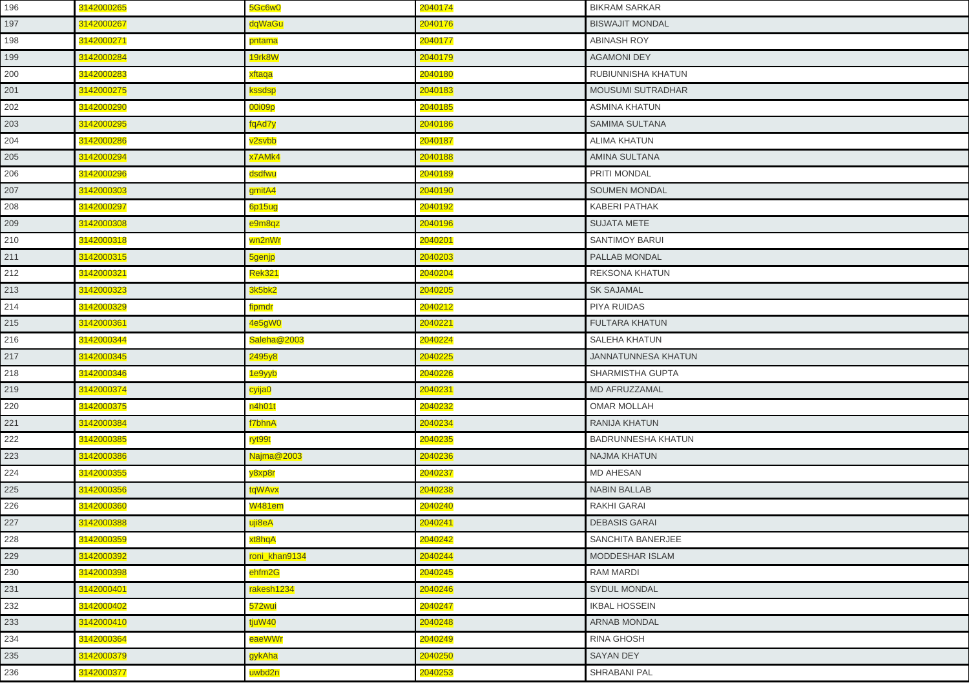| 196 | 3142000265 | 5Gc6w0             | 2040174 | <b>BIKRAM SARKAR</b>      |
|-----|------------|--------------------|---------|---------------------------|
| 197 | 3142000267 | dqWaGu             | 2040176 | <b>BISWAJIT MONDAL</b>    |
| 198 | 3142000271 | pntama             | 2040177 | <b>ABINASH ROY</b>        |
| 199 | 3142000284 | 19rk8W             | 2040179 | <b>AGAMONI DEY</b>        |
| 200 | 3142000283 | xftaqa             | 2040180 | RUBIUNNISHA KHATUN        |
| 201 | 3142000275 | kssdsp             | 2040183 | <b>MOUSUMI SUTRADHAR</b>  |
| 202 | 3142000290 | 00i09p             | 2040185 | <b>ASMINA KHATUN</b>      |
| 203 | 3142000295 | fqAd7y             | 2040186 | <b>SAMIMA SULTANA</b>     |
| 204 | 3142000286 | v <sub>2svbb</sub> | 2040187 | <b>ALIMA KHATUN</b>       |
| 205 | 3142000294 | x7AMk4             | 2040188 | <b>AMINA SULTANA</b>      |
| 206 | 3142000296 | dsdfwu             | 2040189 | PRITI MONDAL              |
| 207 | 3142000303 | gmit <sub>A4</sub> | 2040190 | SOUMEN MONDAL             |
| 208 | 3142000297 | 6p15ug             | 2040192 | <b>KABERI PATHAK</b>      |
| 209 | 3142000308 | e9m8qz             | 2040196 | <b>SUJATA METE</b>        |
| 210 | 3142000318 | wn2nWr             | 2040201 | <b>SANTIMOY BARUI</b>     |
| 211 | 3142000315 | <b>5genjp</b>      | 2040203 | PALLAB MONDAL             |
| 212 | 3142000321 | <b>Rek321</b>      | 2040204 | REKSONA KHATUN            |
| 213 | 3142000323 | 3k5bk2             | 2040205 | <b>SK SAJAMAL</b>         |
| 214 | 3142000329 | fipmdr             | 2040212 | <b>PIYA RUIDAS</b>        |
| 215 | 3142000361 | 4e5gW0             | 2040221 | <b>FULTARA KHATUN</b>     |
| 216 | 3142000344 | Saleha@2003        | 2040224 | SALEHA KHATUN             |
| 217 | 3142000345 | 2495y8             | 2040225 | JANNATUNNESA KHATUN       |
| 218 | 3142000346 | 1e9yyb             | 2040226 | SHARMISTHA GUPTA          |
| 219 | 3142000374 | cyija0             | 2040231 | <b>MD AFRUZZAMAL</b>      |
| 220 | 3142000375 | n4h01t             | 2040232 | <b>OMAR MOLLAH</b>        |
| 221 | 3142000384 | f7bhnA             | 2040234 | <b>RANIJA KHATUN</b>      |
| 222 | 3142000385 | ryt99t             | 2040235 | <b>BADRUNNESHA KHATUN</b> |
| 223 | 3142000386 | Najma@2003         | 2040236 | NAJMA KHATUN              |
| 224 | 3142000355 | y8xp8r             | 2040237 | <b>MD AHESAN</b>          |
| 225 | 3142000356 | tqWAvx             | 2040238 | <b>NABIN BALLAB</b>       |
| 226 | 3142000360 | W481em             | 2040240 | <b>RAKHI GARAI</b>        |
| 227 | 3142000388 | uji8eA             | 2040241 | <b>DEBASIS GARAI</b>      |
| 228 | 3142000359 | xt8hqA             | 2040242 | SANCHITA BANERJEE         |
| 229 | 3142000392 | roni_khan9134      | 2040244 | <b>MODDESHAR ISLAM</b>    |
| 230 | 3142000398 | ehfm <sub>2G</sub> | 2040245 | <b>RAM MARDI</b>          |
| 231 | 3142000401 | rakesh1234         | 2040246 | <b>SYDUL MONDAL</b>       |
| 232 | 3142000402 | 572wui             | 2040247 | <b>IKBAL HOSSEIN</b>      |
| 233 | 3142000410 | tjuW40             | 2040248 | ARNAB MONDAL              |
| 234 | 3142000364 | eaeWWr             | 2040249 | <b>RINA GHOSH</b>         |
| 235 | 3142000379 | gykAha             | 2040250 | <b>SAYAN DEY</b>          |
| 236 | 3142000377 | uwbd2n             | 2040253 | <b>SHRABANI PAL</b>       |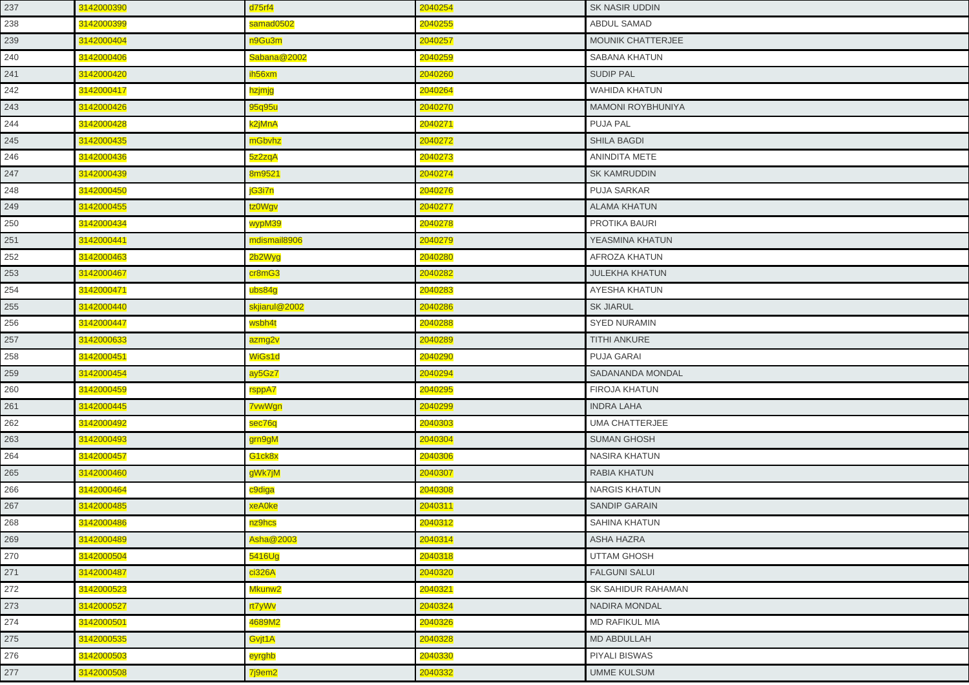| 237 | 3142000390 | d75rf4              | 2040254 | SK NASIR UDDIN            |
|-----|------------|---------------------|---------|---------------------------|
| 238 | 3142000399 | samad0502           | 2040255 | <b>ABDUL SAMAD</b>        |
| 239 | 3142000404 | n9Gu3m              | 2040257 | <b>MOUNIK CHATTERJEE</b>  |
| 240 | 3142000406 | Sabana@2002         | 2040259 | SABANA KHATUN             |
| 241 | 3142000420 | ih <sub>56</sub> xm | 2040260 | <b>SUDIP PAL</b>          |
| 242 | 3142000417 | hzjmjg              | 2040264 | <b>WAHIDA KHATUN</b>      |
| 243 | 3142000426 | 95q95u              | 2040270 | <b>MAMONI ROYBHUNIYA</b>  |
| 244 | 3142000428 | k2jMnA              | 2040271 | <b>PUJA PAL</b>           |
| 245 | 3142000435 | mGbvhz              | 2040272 | <b>SHILA BAGDI</b>        |
| 246 | 3142000436 | 5z2zqA              | 2040273 | ANINDITA METE             |
| 247 | 3142000439 | 8m9521              | 2040274 | <b>SK KAMRUDDIN</b>       |
| 248 | 3142000450 | jG3i7n              | 2040276 | <b>PUJA SARKAR</b>        |
| 249 | 3142000455 | tz0Wgv              | 2040277 | <b>ALAMA KHATUN</b>       |
| 250 | 3142000434 | wypM39              | 2040278 | PROTIKA BAURI             |
| 251 | 3142000441 | mdismail8906        | 2040279 | YEASMINA KHATUN           |
| 252 | 3142000463 | 2b2Wyg              | 2040280 | AFROZA KHATUN             |
| 253 | 3142000467 | cr8mG3              | 2040282 | <b>JULEKHA KHATUN</b>     |
| 254 | 3142000471 | ubs84g              | 2040283 | AYESHA KHATUN             |
| 255 | 3142000440 | skjiarul@2002       | 2040286 | <b>SK JIARUL</b>          |
| 256 | 3142000447 | wsbh4t              | 2040288 | <b>SYED NURAMIN</b>       |
| 257 | 3142000633 | azmg2v              | 2040289 | <b>TITHI ANKURE</b>       |
| 258 | 3142000451 | WiGs1d              | 2040290 | PUJA GARAI                |
| 259 | 3142000454 | ay5Gz7              | 2040294 | SADANANDA MONDAL          |
| 260 | 3142000459 | rsppA7              | 2040295 | <b>FIROJA KHATUN</b>      |
| 261 | 3142000445 | <b>7vwWgn</b>       | 2040299 | <b>INDRA LAHA</b>         |
| 262 | 3142000492 | sec76q              | 2040303 | <b>UMA CHATTERJEE</b>     |
| 263 | 3142000493 | grn9gM              | 2040304 | <b>SUMAN GHOSH</b>        |
| 264 | 3142000457 | G1ck8x              | 2040306 | <b>NASIRA KHATUN</b>      |
| 265 | 3142000460 | gWk7jM              | 2040307 | RABIA KHATUN              |
| 266 | 3142000464 | <mark>c9diga</mark> | 2040308 | <b>NARGIS KHATUN</b>      |
| 267 | 3142000485 | xeA0ke              | 2040311 | <b>SANDIP GARAIN</b>      |
| 268 | 3142000486 | nz9hcs              | 2040312 | <b>SAHINA KHATUN</b>      |
| 269 | 3142000489 | Asha@2003           | 2040314 | <b>ASHA HAZRA</b>         |
| 270 | 3142000504 | 5416Ug              | 2040318 | <b>UTTAM GHOSH</b>        |
| 271 | 3142000487 | ci326A              | 2040320 | <b>FALGUNI SALUI</b>      |
| 272 | 3142000523 | Mkunw2              | 2040321 | <b>SK SAHIDUR RAHAMAN</b> |
| 273 | 3142000527 | rt7yWv              | 2040324 | <b>NADIRA MONDAL</b>      |
| 274 | 3142000501 | 4689M2              | 2040326 | <b>MD RAFIKUL MIA</b>     |
| 275 | 3142000535 | Gvjt1A              | 2040328 | MD ABDULLAH               |
| 276 | 3142000503 | eyrghb              | 2040330 | PIYALI BISWAS             |
| 277 | 3142000508 | 7j9em2              | 2040332 | <b>UMME KULSUM</b>        |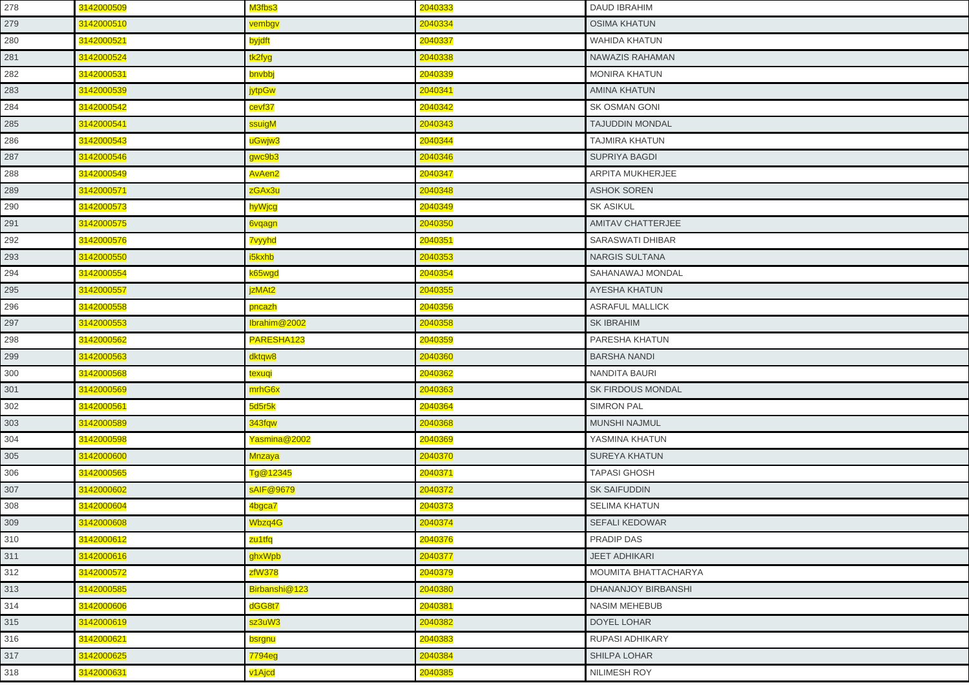| 278 | 3142000509 | M3fbs3           | 2040333 | <b>DAUD IBRAHIM</b>      |
|-----|------------|------------------|---------|--------------------------|
| 279 | 3142000510 | vembgv           | 2040334 | <b>OSIMA KHATUN</b>      |
| 280 | 3142000521 | <u>byjdft</u>    | 2040337 | <b>WAHIDA KHATUN</b>     |
| 281 | 3142000524 | tk2fyg           | 2040338 | NAWAZIS RAHAMAN          |
| 282 | 3142000531 | bnvbbj           | 2040339 | <b>MONIRA KHATUN</b>     |
| 283 | 3142000539 | jytpGw           | 2040341 | AMINA KHATUN             |
| 284 | 3142000542 | cevf37           | 2040342 | SK OSMAN GONI            |
| 285 | 3142000541 | ssuigM           | 2040343 | <b>TAJUDDIN MONDAL</b>   |
| 286 | 3142000543 | uGwjw3           | 2040344 | <b>TAJMIRA KHATUN</b>    |
| 287 | 3142000546 | gwc9b3           | 2040346 | <b>SUPRIYA BAGDI</b>     |
| 288 | 3142000549 | AvAen2           | 2040347 | ARPITA MUKHERJEE         |
| 289 | 3142000571 | zGAx3u           | 2040348 | <b>ASHOK SOREN</b>       |
| 290 | 3142000573 | hyWjcg           | 2040349 | <b>SK ASIKUL</b>         |
| 291 | 3142000575 | 6vqagn           | 2040350 | <b>AMITAV CHATTERJEE</b> |
| 292 | 3142000576 | <b>7vyyhd</b>    | 2040351 | <b>SARASWATI DHIBAR</b>  |
| 293 | 3142000550 | i5kxhb           | 2040353 | <b>NARGIS SULTANA</b>    |
| 294 | 3142000554 | k65wgd           | 2040354 | SAHANAWAJ MONDAL         |
| 295 | 3142000557 | jzMAt2           | 2040355 | AYESHA KHATUN            |
| 296 | 3142000558 | pncazh           | 2040356 | ASRAFUL MALLICK          |
| 297 | 3142000553 | Ibrahim@2002     | 2040358 | <b>SK IBRAHIM</b>        |
| 298 | 3142000562 | PARESHA123       | 2040359 | PARESHA KHATUN           |
| 299 | 3142000563 | dktqw8           | 2040360 | <b>BARSHA NANDI</b>      |
| 300 | 3142000568 | texuqi           | 2040362 | NANDITA BAURI            |
| 301 | 3142000569 | mrhG6x           | 2040363 | <b>SK FIRDOUS MONDAL</b> |
| 302 | 3142000561 | 5d5r5k           | 2040364 | <b>SIMRON PAL</b>        |
| 303 | 3142000589 | 343fqw           | 2040368 | <b>MUNSHI NAJMUL</b>     |
| 304 | 3142000598 | Yasmina@2002     | 2040369 | YASMINA KHATUN           |
| 305 | 3142000600 | Mnzaya           | 2040370 | <b>SUREYA KHATUN</b>     |
| 306 | 3142000565 | Tg@12345         | 2040371 | <b>TAPASI GHOSH</b>      |
| 307 | 3142000602 | <b>sAIF@9679</b> | 2040372 | <b>SK SAIFUDDIN</b>      |
| 308 | 3142000604 | 4bgca7           | 2040373 | <b>SELIMA KHATUN</b>     |
| 309 | 3142000608 | Wbzq4G           | 2040374 | <b>SEFALI KEDOWAR</b>    |
| 310 | 3142000612 | zu1tfq           | 2040376 | PRADIP DAS               |
| 311 | 3142000616 | ghxWpb           | 2040377 | <b>JEET ADHIKARI</b>     |
| 312 | 3142000572 | zfW378           | 2040379 | MOUMITA BHATTACHARYA     |
| 313 | 3142000585 | Birbanshi@123    | 2040380 | DHANANJOY BIRBANSHI      |
| 314 | 3142000606 | dGG8t7           | 2040381 | <b>NASIM MEHEBUB</b>     |
| 315 | 3142000619 | sz3uW3           | 2040382 | DOYEL LOHAR              |
| 316 | 3142000621 | bsrgnu           | 2040383 | RUPASI ADHIKARY          |
| 317 | 3142000625 | 7794eg           | 2040384 | SHILPA LOHAR             |
| 318 | 3142000631 | v1Ajcd           | 2040385 | NILIMESH ROY             |
|     |            |                  |         |                          |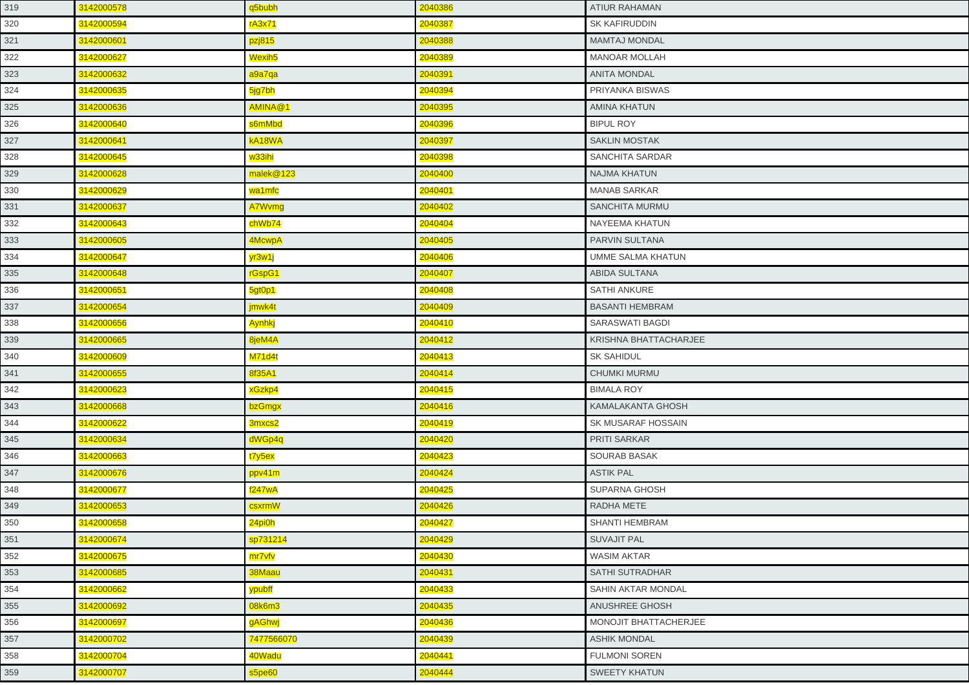| 3142000594<br>3142000601<br>3142000627<br>3142000632<br>3142000635<br>3142000636<br>3142000640<br>3142000641<br>3142000645<br>3142000628<br>3142000629<br>3142000637<br>3142000643 | rA3x71<br>pzj815<br><b>Wexih5</b><br>a9a7qa<br>5jg7bh<br>AMINA@1<br>s6mMbd<br>kA18WA<br>w33ihi<br>malek@123<br>wa1mfc | 2040387<br>2040388<br>2040389<br>2040391<br>2040394<br>2040395<br>2040396<br>2040397<br>2040398<br>2040400 | <b>SK KAFIRUDDIN</b><br>MAMTAJ MONDAL<br><b>MANOAR MOLLAH</b><br><b>ANITA MONDAL</b><br>PRIYANKA BISWAS<br>AMINA KHATUN<br><b>BIPUL ROY</b><br><b>SAKLIN MOSTAK</b><br><b>SANCHITA SARDAR</b> |
|------------------------------------------------------------------------------------------------------------------------------------------------------------------------------------|-----------------------------------------------------------------------------------------------------------------------|------------------------------------------------------------------------------------------------------------|-----------------------------------------------------------------------------------------------------------------------------------------------------------------------------------------------|
|                                                                                                                                                                                    |                                                                                                                       |                                                                                                            |                                                                                                                                                                                               |
|                                                                                                                                                                                    |                                                                                                                       |                                                                                                            |                                                                                                                                                                                               |
|                                                                                                                                                                                    |                                                                                                                       |                                                                                                            |                                                                                                                                                                                               |
|                                                                                                                                                                                    |                                                                                                                       |                                                                                                            |                                                                                                                                                                                               |
|                                                                                                                                                                                    |                                                                                                                       |                                                                                                            |                                                                                                                                                                                               |
|                                                                                                                                                                                    |                                                                                                                       |                                                                                                            |                                                                                                                                                                                               |
|                                                                                                                                                                                    |                                                                                                                       |                                                                                                            |                                                                                                                                                                                               |
|                                                                                                                                                                                    |                                                                                                                       |                                                                                                            |                                                                                                                                                                                               |
|                                                                                                                                                                                    |                                                                                                                       |                                                                                                            |                                                                                                                                                                                               |
|                                                                                                                                                                                    |                                                                                                                       |                                                                                                            | NAJMA KHATUN                                                                                                                                                                                  |
|                                                                                                                                                                                    |                                                                                                                       | 2040401                                                                                                    | <b>MANAB SARKAR</b>                                                                                                                                                                           |
|                                                                                                                                                                                    | <b>A7Wvmg</b>                                                                                                         | 2040402                                                                                                    | <b>SANCHITA MURMU</b>                                                                                                                                                                         |
|                                                                                                                                                                                    | chWb74                                                                                                                | 2040404                                                                                                    | NAYEEMA KHATUN                                                                                                                                                                                |
| 3142000605                                                                                                                                                                         | 4McwpA                                                                                                                | 2040405                                                                                                    | PARVIN SULTANA                                                                                                                                                                                |
| 3142000647                                                                                                                                                                         | yr3w1j                                                                                                                | 2040406                                                                                                    | <b>UMME SALMA KHATUN</b>                                                                                                                                                                      |
| 3142000648                                                                                                                                                                         | rGspG1                                                                                                                | 2040407                                                                                                    | ABIDA SULTANA                                                                                                                                                                                 |
| 3142000651                                                                                                                                                                         | 5gt0p1                                                                                                                | 2040408                                                                                                    | <b>SATHI ANKURE</b>                                                                                                                                                                           |
| 3142000654                                                                                                                                                                         | jmwk4t                                                                                                                | 2040409                                                                                                    | <b>BASANTI HEMBRAM</b>                                                                                                                                                                        |
| 3142000656                                                                                                                                                                         | Aynhkj                                                                                                                | 2040410                                                                                                    | SARASWATI BAGDI                                                                                                                                                                               |
| 3142000665                                                                                                                                                                         | 8jeM4A                                                                                                                | 2040412                                                                                                    | KRISHNA BHATTACHARJEE                                                                                                                                                                         |
| 3142000609                                                                                                                                                                         | M71d4t                                                                                                                | 2040413                                                                                                    | <b>SK SAHIDUL</b>                                                                                                                                                                             |
| 3142000655                                                                                                                                                                         | 8f35A1                                                                                                                | 2040414                                                                                                    | <b>CHUMKI MURMU</b>                                                                                                                                                                           |
| 3142000623                                                                                                                                                                         | xGzkp4                                                                                                                | 2040415                                                                                                    | <b>BIMALA ROY</b>                                                                                                                                                                             |
| 3142000668                                                                                                                                                                         | bzGmgx                                                                                                                | 2040416                                                                                                    | <b>KAMALAKANTA GHOSH</b>                                                                                                                                                                      |
| 3142000622                                                                                                                                                                         | 3mxcs2                                                                                                                | 2040419                                                                                                    | SK MUSARAF HOSSAIN                                                                                                                                                                            |
| 3142000634                                                                                                                                                                         | dWGp4q                                                                                                                | 2040420                                                                                                    | <b>PRITI SARKAR</b>                                                                                                                                                                           |
| 3142000663                                                                                                                                                                         | t7y5ex                                                                                                                | 2040423                                                                                                    | <b>SOURAB BASAK</b>                                                                                                                                                                           |
| 3142000676                                                                                                                                                                         | ppv41m                                                                                                                | 2040424                                                                                                    | <b>ASTIK PAL</b>                                                                                                                                                                              |
| 3142000677                                                                                                                                                                         | <u>f247wA</u>                                                                                                         | 2040425                                                                                                    | <b>SUPARNA GHOSH</b>                                                                                                                                                                          |
| 3142000653                                                                                                                                                                         | csxrmW                                                                                                                | 2040426                                                                                                    | <b>RADHA METE</b>                                                                                                                                                                             |
| 3142000658                                                                                                                                                                         | <mark>24pi0h</mark>                                                                                                   | 2040427                                                                                                    | <b>SHANTI HEMBRAM</b>                                                                                                                                                                         |
| 3142000674                                                                                                                                                                         | sp731214                                                                                                              | 2040429                                                                                                    | <b>SUVAJIT PAL</b>                                                                                                                                                                            |
| 3142000675                                                                                                                                                                         | mr7vfv                                                                                                                | 2040430                                                                                                    | <b>WASIM AKTAR</b>                                                                                                                                                                            |
| 3142000685                                                                                                                                                                         | 38Maau                                                                                                                | 2040431                                                                                                    | <b>SATHI SUTRADHAR</b>                                                                                                                                                                        |
| 3142000662                                                                                                                                                                         | ypubff                                                                                                                | 2040433                                                                                                    | <b>SAHIN AKTAR MONDAL</b>                                                                                                                                                                     |
| 3142000692                                                                                                                                                                         | 08k6m3                                                                                                                | 2040435                                                                                                    | <b>ANUSHREE GHOSH</b>                                                                                                                                                                         |
| 3142000697                                                                                                                                                                         | gAGhwj                                                                                                                | 2040436                                                                                                    | MONOJIT BHATTACHERJEE                                                                                                                                                                         |
| 3142000702                                                                                                                                                                         | 7477566070                                                                                                            | 2040439                                                                                                    | <b>ASHIK MONDAL</b>                                                                                                                                                                           |
| 3142000704                                                                                                                                                                         | 40Wadu                                                                                                                | 2040441                                                                                                    | <b>FULMONI SOREN</b>                                                                                                                                                                          |
|                                                                                                                                                                                    |                                                                                                                       |                                                                                                            | <b>SWEETY KHATUN</b>                                                                                                                                                                          |
|                                                                                                                                                                                    |                                                                                                                       |                                                                                                            | 2040444<br>3142000707<br>s5pe60                                                                                                                                                               |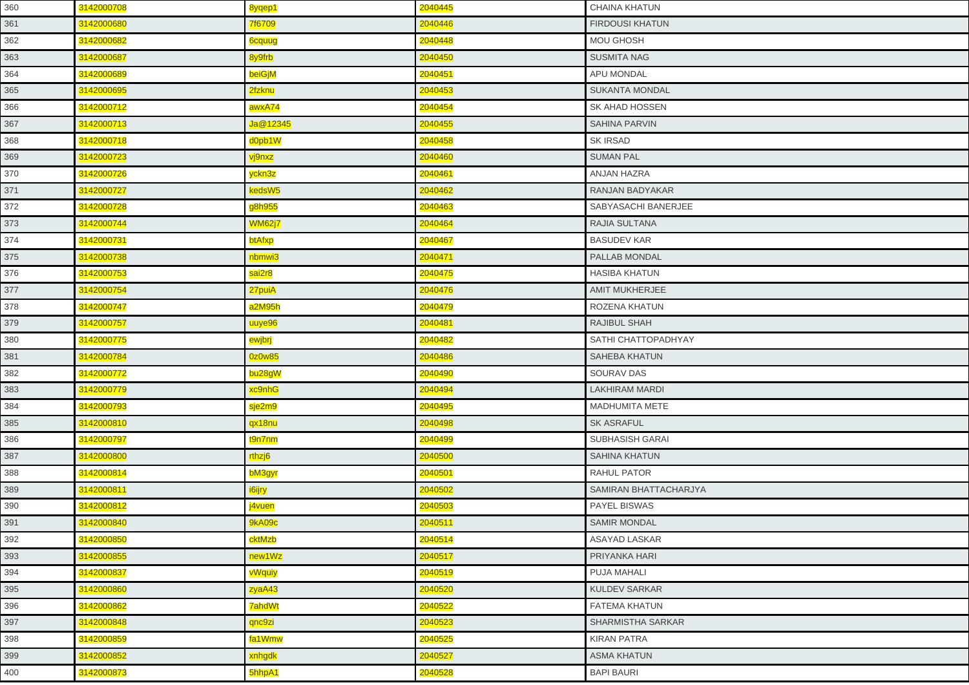| 360 | 3142000708 | 8yqep1              | 2040445 | <b>CHAINA KHATUN</b>     |
|-----|------------|---------------------|---------|--------------------------|
| 361 | 3142000680 | <b>7f6709</b>       | 2040446 | <b>FIRDOUSI KHATUN</b>   |
| 362 | 3142000682 | 6cquug              | 2040448 | <b>MOU GHOSH</b>         |
| 363 | 3142000687 | 8y9frb              | 2040450 | <b>SUSMITA NAG</b>       |
| 364 | 3142000689 | beiGjM              | 2040451 | <b>APU MONDAL</b>        |
| 365 | 3142000695 | 2fzknu              | 2040453 | <b>SUKANTA MONDAL</b>    |
| 366 | 3142000712 | awxA74              | 2040454 | SK AHAD HOSSEN           |
| 367 | 3142000713 | Ja@12345            | 2040455 | <b>SAHINA PARVIN</b>     |
| 368 | 3142000718 | d0pb1W              | 2040458 | <b>SK IRSAD</b>          |
| 369 | 3142000723 | vj9nxz              | 2040460 | <b>SUMAN PAL</b>         |
| 370 | 3142000726 | yckn3z              | 2040461 | ANJAN HAZRA              |
| 371 | 3142000727 | kedsW5              | 2040462 | RANJAN BADYAKAR          |
| 372 | 3142000728 | g8h955              | 2040463 | SABYASACHI BANERJEE      |
| 373 | 3142000744 | <b>WM62j7</b>       | 2040464 | RAJIA SULTANA            |
| 374 | 3142000731 | btAfxp              | 2040467 | <b>BASUDEV KAR</b>       |
| 375 | 3142000738 | nbmwi3              | 2040471 | PALLAB MONDAL            |
| 376 | 3142000753 | sai2r8              | 2040475 | <b>HASIBA KHATUN</b>     |
| 377 | 3142000754 | 27 <sub>pui</sub> A | 2040476 | <b>AMIT MUKHERJEE</b>    |
| 378 | 3142000747 | a2M95h              | 2040479 | ROZENA KHATUN            |
| 379 | 3142000757 | uuye96              | 2040481 | <b>RAJIBUL SHAH</b>      |
| 380 | 3142000775 | ewjbrj              | 2040482 | SATHI CHATTOPADHYAY      |
| 381 | 3142000784 | 0z0w85              | 2040486 | SAHEBA KHATUN            |
| 382 | 3142000772 | bu28gW              | 2040490 | <b>SOURAV DAS</b>        |
| 383 | 3142000779 | xc9nhG              | 2040494 | <b>LAKHIRAM MARDI</b>    |
| 384 | 3142000793 | sje2m9              | 2040495 | MADHUMITA METE           |
| 385 | 3142000810 | qx18nu              | 2040498 | <b>SK ASRAFUL</b>        |
| 386 | 3142000797 | t9n7nm              | 2040499 | <b>SUBHASISH GARAI</b>   |
| 387 | 3142000800 | rthzj6              | 2040500 | <b>SAHINA KHATUN</b>     |
| 388 | 3142000814 | bM3gyr              | 2040501 | <b>RAHUL PATOR</b>       |
| 389 | 3142000811 | i6ijry              | 2040502 | SAMIRAN BHATTACHARJYA    |
| 390 | 3142000812 | j4vuen              | 2040503 | <b>PAYEL BISWAS</b>      |
| 391 | 3142000840 | 9kA09c              | 2040511 | <b>SAMIR MONDAL</b>      |
| 392 | 3142000850 | cktMzb              | 2040514 | ASAYAD LASKAR            |
| 393 | 3142000855 | new1Wz              | 2040517 | PRIYANKA HARI            |
| 394 | 3142000837 | <b>vWquiy</b>       | 2040519 | PUJA MAHALI              |
| 395 | 3142000860 | zyaA43              | 2040520 | <b>KULDEV SARKAR</b>     |
| 396 | 3142000862 | <b>7ahdWt</b>       | 2040522 | <b>FATEMA KHATUN</b>     |
| 397 | 3142000848 | qnc9zi              | 2040523 | <b>SHARMISTHA SARKAR</b> |
| 398 | 3142000859 | fa1Wmw              | 2040525 | <b>KIRAN PATRA</b>       |
| 399 | 3142000852 | xnhgdk              | 2040527 | <b>ASMA KHATUN</b>       |
| 400 | 3142000873 | 5hhpA1              | 2040528 | <b>BAPI BAURI</b>        |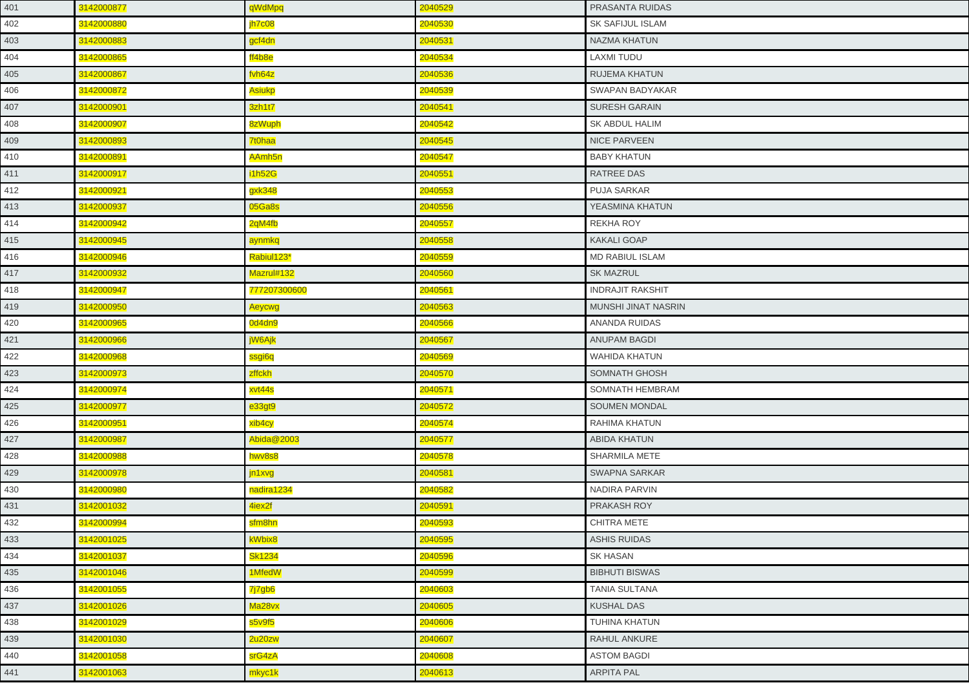| 3142000877 | qWdMpq             | 2040529 | <b>PRASANTA RUIDAS</b>  |
|------------|--------------------|---------|-------------------------|
| 3142000880 | jh7c08             | 2040530 | <b>SK SAFIJUL ISLAM</b> |
| 3142000883 | gcf4dn             | 2040531 | <b>NAZMA KHATUN</b>     |
| 3142000865 | ff4b8e             | 2040534 | <b>LAXMI TUDU</b>       |
| 3142000867 | fvh <sub>64z</sub> | 2040536 | RUJEMA KHATUN           |
| 3142000872 | <b>Asiukp</b>      | 2040539 | SWAPAN BADYAKAR         |
| 3142000901 | 3zh1t7             | 2040541 | SURESH GARAIN           |
| 3142000907 | 8zWuph             | 2040542 | <b>SK ABDUL HALIM</b>   |
| 3142000893 | 7t0haa             | 2040545 | NICE PARVEEN            |
| 3142000891 | AAmh5n             | 2040547 | <b>BABY KHATUN</b>      |
| 3142000917 | <b>i1h52G</b>      | 2040551 | RATREE DAS              |
| 3142000921 | gxk348             | 2040553 | PUJA SARKAR             |
| 3142000937 | 05Ga8s             | 2040556 | YEASMINA KHATUN         |
| 3142000942 | 2qM4fb             | 2040557 | REKHA ROY               |
| 3142000945 | aynmkq             | 2040558 | <b>KAKALI GOAP</b>      |
| 3142000946 | Rabiul123*         | 2040559 | <b>MD RABIUL ISLAM</b>  |
| 3142000932 | Mazrul#132         | 2040560 | <b>SK MAZRUL</b>        |
| 3142000947 | 777207300600       | 2040561 | <b>INDRAJIT RAKSHIT</b> |
| 3142000950 | Aeycwg             | 2040563 | MUNSHI JINAT NASRIN     |
| 3142000965 | 0d4dn9             | 2040566 | ANANDA RUIDAS           |
| 3142000966 | jW6Ajk             | 2040567 | <b>ANUPAM BAGDI</b>     |
| 3142000968 | ssgi6q             | 2040569 | <b>WAHIDA KHATUN</b>    |
| 3142000973 | zffckh             | 2040570 | SOMNATH GHOSH           |
| 3142000974 | xvt44s             | 2040571 | SOMNATH HEMBRAM         |
| 3142000977 | e33gt9             | 2040572 | <b>SOUMEN MONDAL</b>    |
| 3142000951 | xib4cy             | 2040574 | RAHIMA KHATUN           |
| 3142000987 | Abida@2003         | 2040577 | ABIDA KHATUN            |
| 3142000988 | hwv8s8             | 2040578 | <b>SHARMILA METE</b>    |
| 3142000978 | jn1xvg             | 2040581 | SWAPNA SARKAR           |
| 3142000980 | nadira1234         | 2040582 | NADIRA PARVIN           |
| 3142001032 | 4iex2f             | 2040591 | <b>PRAKASH ROY</b>      |
| 3142000994 | sfm8hn             | 2040593 | <b>CHITRA METE</b>      |
| 3142001025 | kWbix8             | 2040595 | <b>ASHIS RUIDAS</b>     |
| 3142001037 | <b>Sk1234</b>      | 2040596 | <b>SK HASAN</b>         |
| 3142001046 | 1MfedW             | 2040599 | <b>BIBHUTI BISWAS</b>   |
| 3142001055 | 7j7gb6             | 2040603 | <b>TANIA SULTANA</b>    |
| 3142001026 | Ma <sub>28vx</sub> | 2040605 | <b>KUSHAL DAS</b>       |
| 3142001029 | s5v9f5             | 2040606 | TUHINA KHATUN           |
| 3142001030 | 2u20zw             | 2040607 | RAHUL ANKURE            |
| 3142001058 | srG4zA             | 2040608 | <b>ASTOM BAGDI</b>      |
| 3142001063 | mkyc1k             | 2040613 | <b>ARPITA PAL</b>       |
|            |                    |         |                         |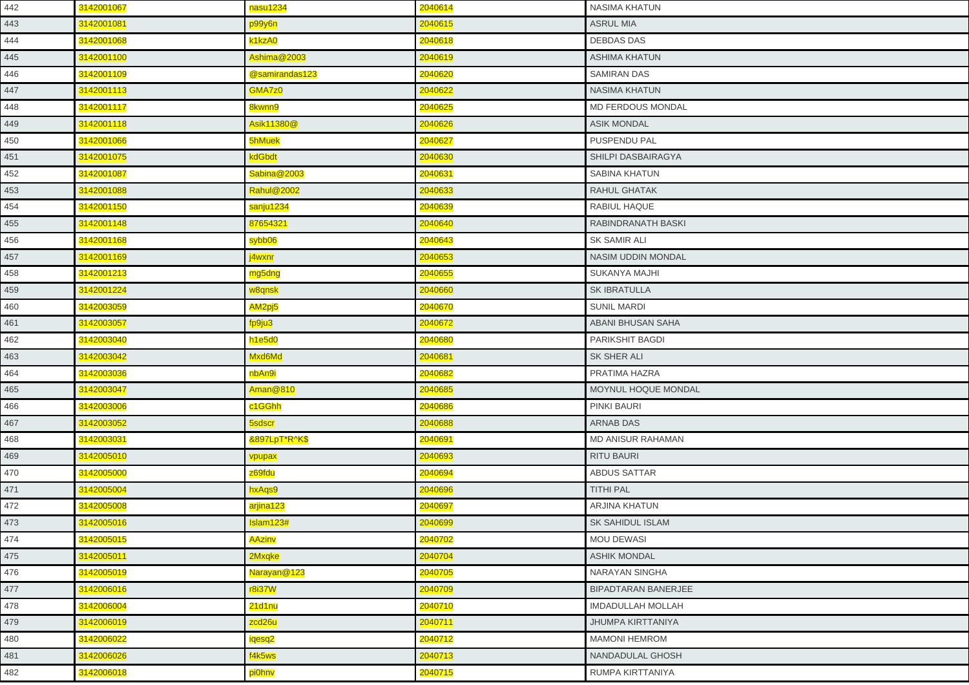| 442 | 3142001067 | nasu1234           | 2040614 | NASIMA KHATUN              |
|-----|------------|--------------------|---------|----------------------------|
| 443 | 3142001081 | p99y6n             | 2040615 | <b>ASRUL MIA</b>           |
| 444 | 3142001068 | k1kzA0             | 2040618 | <b>DEBDAS DAS</b>          |
| 445 | 3142001100 | Ashima@2003        | 2040619 | <b>ASHIMA KHATUN</b>       |
| 446 | 3142001109 | @samirandas123     | 2040620 | <b>SAMIRAN DAS</b>         |
| 447 | 3142001113 | GMA7z0             | 2040622 | NASIMA KHATUN              |
| 448 | 3142001117 | 8kwnn9             | 2040625 | <b>MD FERDOUS MONDAL</b>   |
| 449 | 3142001118 | Asik11380@         | 2040626 | <b>ASIK MONDAL</b>         |
| 450 | 3142001066 | 5hMuek             | 2040627 | PUSPENDU PAL               |
| 451 | 3142001075 | kdGbdt             | 2040630 | SHILPI DASBAIRAGYA         |
| 452 | 3142001087 | Sabina@2003        | 2040631 | SABINA KHATUN              |
| 453 | 3142001088 | Rahul@2002         | 2040633 | RAHUL GHATAK               |
| 454 | 3142001150 | sanju1234          | 2040639 | RABIUL HAQUE               |
| 455 | 3142001148 | 87654321           | 2040640 | RABINDRANATH BASKI         |
| 456 | 3142001168 | sybb06             | 2040643 | <b>SK SAMIR ALI</b>        |
| 457 | 3142001169 | j4wxnr             | 2040653 | <b>NASIM UDDIN MONDAL</b>  |
| 458 | 3142001213 | mg5dng             | 2040655 | SUKANYA MAJHI              |
| 459 | 3142001224 | w <sub>8qnsk</sub> | 2040660 | <b>SK IBRATULLA</b>        |
| 460 | 3142003059 | AM2pj5             | 2040670 | <b>SUNIL MARDI</b>         |
| 461 | 3142003057 | fp9ju3             | 2040672 | ABANI BHUSAN SAHA          |
| 462 | 3142003040 | h <sub>1e5d0</sub> | 2040680 | PARIKSHIT BAGDI            |
| 463 | 3142003042 | Mxd6Md             | 2040681 | SK SHER ALI                |
| 464 | 3142003036 | nbAn9i             | 2040682 | PRATIMA HAZRA              |
| 465 | 3142003047 | Aman@810           | 2040685 | MOYNUL HOQUE MONDAL        |
| 466 | 3142003006 | c1GGhh             | 2040686 | PINKI BAURI                |
| 467 | 3142003052 | <b>5sdscr</b>      | 2040688 | <b>ARNAB DAS</b>           |
| 468 | 3142003031 | &897LpT*R^K\$      | 2040691 | MD ANISUR RAHAMAN          |
| 469 | 3142005010 | vpupax             | 2040693 | <b>RITU BAURI</b>          |
| 470 | 3142005000 | z69fdu             | 2040694 | ABDUS SATTAR               |
| 471 | 3142005004 | hxAqs9             | 2040696 | <b>TITHI PAL</b>           |
| 472 | 3142005008 | arjina123          | 2040697 | <b>ARJINA KHATUN</b>       |
| 473 | 3142005016 | <u>Islam123#</u>   | 2040699 | SK SAHIDUL ISLAM           |
| 474 | 3142005015 | <b>AAzinv</b>      | 2040702 | <b>MOU DEWASI</b>          |
| 475 | 3142005011 | 2Mxqke             | 2040704 | <b>ASHIK MONDAL</b>        |
| 476 | 3142005019 | Narayan@123        | 2040705 | NARAYAN SINGHA             |
| 477 | 3142006016 | r8i37W             | 2040709 | <b>BIPADTARAN BANERJEE</b> |
| 478 | 3142006004 | 21d1nu             | 2040710 | <b>IMDADULLAH MOLLAH</b>   |
| 479 | 3142006019 | zcd26u             | 2040711 | JHUMPA KIRTTANIYA          |
| 480 | 3142006022 | iqesq2             | 2040712 | <b>MAMONI HEMROM</b>       |
| 481 | 3142006026 | f4k5ws             | 2040713 | NANDADULAL GHOSH           |
| 482 | 3142006018 | pi0hnv             | 2040715 | RUMPA KIRTTANIYA           |
|     |            |                    |         |                            |